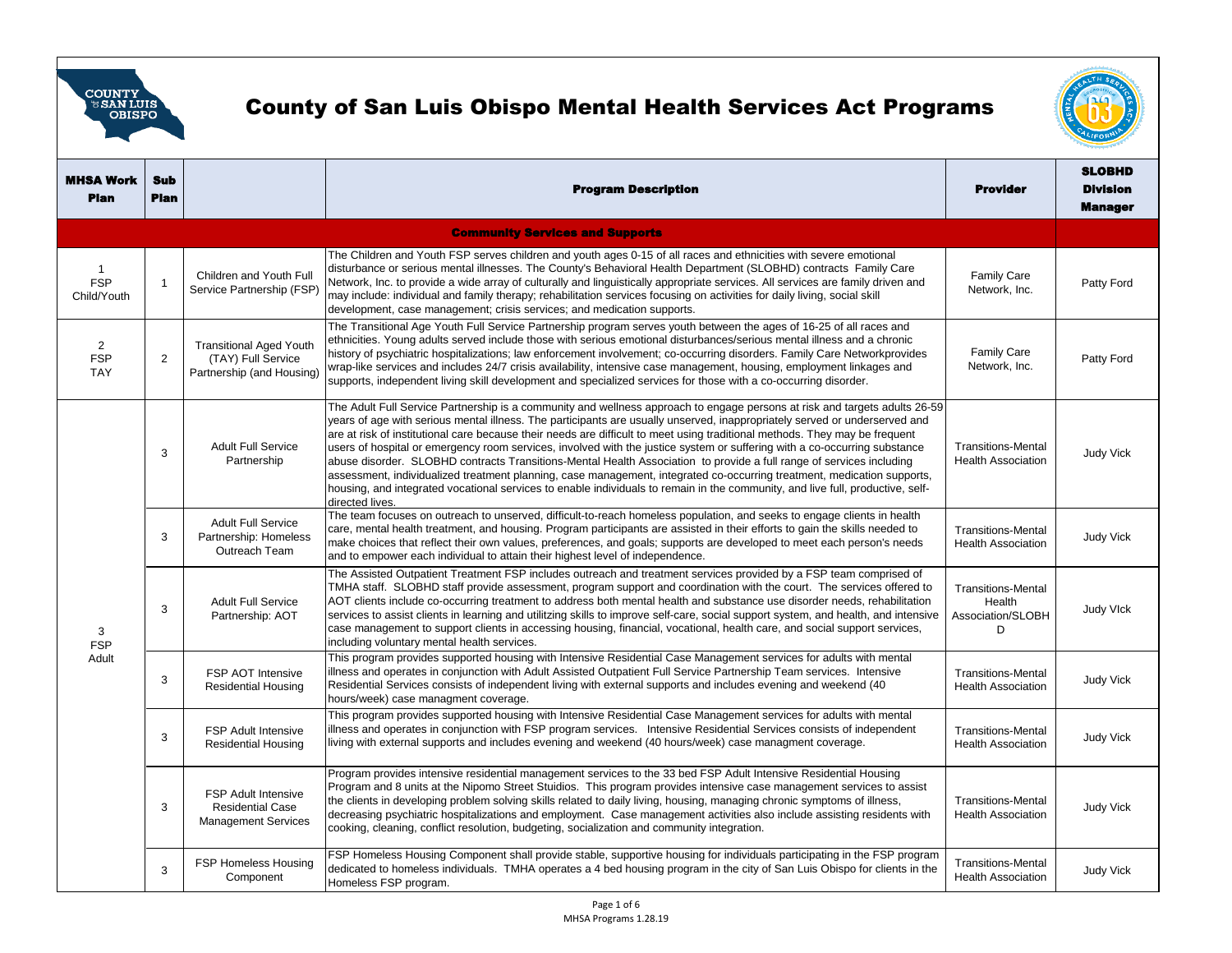

## County of San Luis Obispo Mental Health Services Act Programs



| <b>MHSA Work</b><br><b>Plan</b>            | <b>Sub</b><br><b>Plan</b> |                                                                                     | <b>Program Description</b>                                                                                                                                                                                                                                                                                                                                                                                                                                                                                                                                                                                                                                                                                                                                                                                                                                                                                                   | <b>Provider</b>                                               | <b>SLOBHD</b><br><b>Division</b><br><b>Manager</b> |
|--------------------------------------------|---------------------------|-------------------------------------------------------------------------------------|------------------------------------------------------------------------------------------------------------------------------------------------------------------------------------------------------------------------------------------------------------------------------------------------------------------------------------------------------------------------------------------------------------------------------------------------------------------------------------------------------------------------------------------------------------------------------------------------------------------------------------------------------------------------------------------------------------------------------------------------------------------------------------------------------------------------------------------------------------------------------------------------------------------------------|---------------------------------------------------------------|----------------------------------------------------|
| <b>Community Services and Supports</b>     |                           |                                                                                     |                                                                                                                                                                                                                                                                                                                                                                                                                                                                                                                                                                                                                                                                                                                                                                                                                                                                                                                              |                                                               |                                                    |
| -1<br><b>FSP</b><br>Child/Youth            | $\overline{1}$            | Children and Youth Full<br>Service Partnership (FSP)                                | The Children and Youth FSP serves children and youth ages 0-15 of all races and ethnicities with severe emotional<br>disturbance or serious mental illnesses. The County's Behavioral Health Department (SLOBHD) contracts Family Care<br>Network, Inc. to provide a wide array of culturally and linguistically appropriate services. All services are family driven and<br>may include: individual and family therapy; rehabilitation services focusing on activities for daily living, social skill<br>development, case management; crisis services; and medication supports.                                                                                                                                                                                                                                                                                                                                            | <b>Family Care</b><br>Network, Inc.                           | Patty Ford                                         |
| $\overline{2}$<br><b>FSP</b><br><b>TAY</b> | 2                         | <b>Transitional Aged Youth</b><br>(TAY) Full Service<br>Partnership (and Housing)   | The Transitional Age Youth Full Service Partnership program serves youth between the ages of 16-25 of all races and<br>ethnicities. Young adults served include those with serious emotional disturbances/serious mental illness and a chronic<br>history of psychiatric hospitalizations; law enforcement involvement; co-occurring disorders. Family Care Networkprovides<br>wrap-like services and includes 24/7 crisis availability, intensive case management, housing, employment linkages and<br>supports, independent living skill development and specialized services for those with a co-occurring disorder.                                                                                                                                                                                                                                                                                                      | <b>Family Care</b><br>Network, Inc.                           | Patty Ford                                         |
| 3<br><b>FSP</b><br>Adult                   | 3                         | <b>Adult Full Service</b><br>Partnership                                            | The Adult Full Service Partnership is a community and wellness approach to engage persons at risk and targets adults 26-59<br>years of age with serious mental illness. The participants are usually unserved, inappropriately served or underserved and<br>are at risk of institutional care because their needs are difficult to meet using traditional methods. They may be frequent<br>users of hospital or emergency room services, involved with the justice system or suffering with a co-occurring substance<br>abuse disorder. SLOBHD contracts Transitions-Mental Health Association to provide a full range of services including<br>assessment, individualized treatment planning, case management, integrated co-occurring treatment, medication supports,<br>housing, and integrated vocational services to enable individuals to remain in the community, and live full, productive, self-<br>directed lives. | <b>Transitions-Mental</b><br><b>Health Association</b>        | <b>Judy Vick</b>                                   |
|                                            | 3                         | <b>Adult Full Service</b><br>Partnership: Homeless<br>Outreach Team                 | The team focuses on outreach to unserved, difficult-to-reach homeless population, and seeks to engage clients in health<br>care, mental health treatment, and housing. Program participants are assisted in their efforts to gain the skills needed to<br>make choices that reflect their own values, preferences, and goals; supports are developed to meet each person's needs<br>and to empower each individual to attain their highest level of independence.                                                                                                                                                                                                                                                                                                                                                                                                                                                            | <b>Transitions-Mental</b><br><b>Health Association</b>        | <b>Judy Vick</b>                                   |
|                                            | 3                         | <b>Adult Full Service</b><br>Partnership: AOT                                       | The Assisted Outpatient Treatment FSP includes outreach and treatment services provided by a FSP team comprised of<br>TMHA staff. SLOBHD staff provide assessment, program support and coordination with the court. The services offered to<br>AOT clients include co-occurring treatment to address both mental health and substance use disorder needs, rehabilitation<br>services to assist clients in learning and utilitzing skills to improve self-care, social support system, and health, and intensive<br>case management to support clients in accessing housing, financial, vocational, health care, and social support services,<br>including voluntary mental health services.                                                                                                                                                                                                                                  | <b>Transitions-Mental</b><br>Health<br>Association/SLOBH<br>D | <b>Judy VIck</b>                                   |
|                                            | 3                         | FSP AOT Intensive<br><b>Residential Housing</b>                                     | This program provides supported housing with Intensive Residential Case Management services for adults with mental<br>illness and operates in conjunction with Adult Assisted Outpatient Full Service Partnership Team services. Intensive<br>Residential Services consists of independent living with external supports and includes evening and weekend (40<br>hours/week) case managment coverage.                                                                                                                                                                                                                                                                                                                                                                                                                                                                                                                        | <b>Transitions-Mental</b><br><b>Health Association</b>        | <b>Judy Vick</b>                                   |
|                                            | 3                         | FSP Adult Intensive<br><b>Residential Housing</b>                                   | This program provides supported housing with Intensive Residential Case Management services for adults with mental<br>illness and operates in conjunction with FSP program services. Intensive Residential Services consists of independent<br>living with external supports and includes evening and weekend (40 hours/week) case managment coverage.                                                                                                                                                                                                                                                                                                                                                                                                                                                                                                                                                                       | <b>Transitions-Mental</b><br><b>Health Association</b>        | <b>Judy Vick</b>                                   |
|                                            | 3                         | <b>FSP Adult Intensive</b><br><b>Residential Case</b><br><b>Management Services</b> | Program provides intensive residential management services to the 33 bed FSP Adult Intensive Residential Housing<br>Program and 8 units at the Nipomo Street Stuidios. This program provides intensive case management services to assist<br>the clients in developing problem solving skills related to daily living, housing, managing chronic symptoms of illness,<br>decreasing psychiatric hospitalizations and employment. Case management activities also include assisting residents with<br>cooking, cleaning, conflict resolution, budgeting, socialization and community integration.                                                                                                                                                                                                                                                                                                                             | <b>Transitions-Mental</b><br><b>Health Association</b>        | <b>Judy Vick</b>                                   |
|                                            | 3                         | <b>FSP Homeless Housing</b><br>Component                                            | FSP Homeless Housing Component shall provide stable, supportive housing for individuals participating in the FSP program<br>dedicated to homeless individuals. TMHA operates a 4 bed housing program in the city of San Luis Obispo for clients in the<br>Homeless FSP program.                                                                                                                                                                                                                                                                                                                                                                                                                                                                                                                                                                                                                                              | <b>Transitions-Mental</b><br><b>Health Association</b>        | <b>Judy Vick</b>                                   |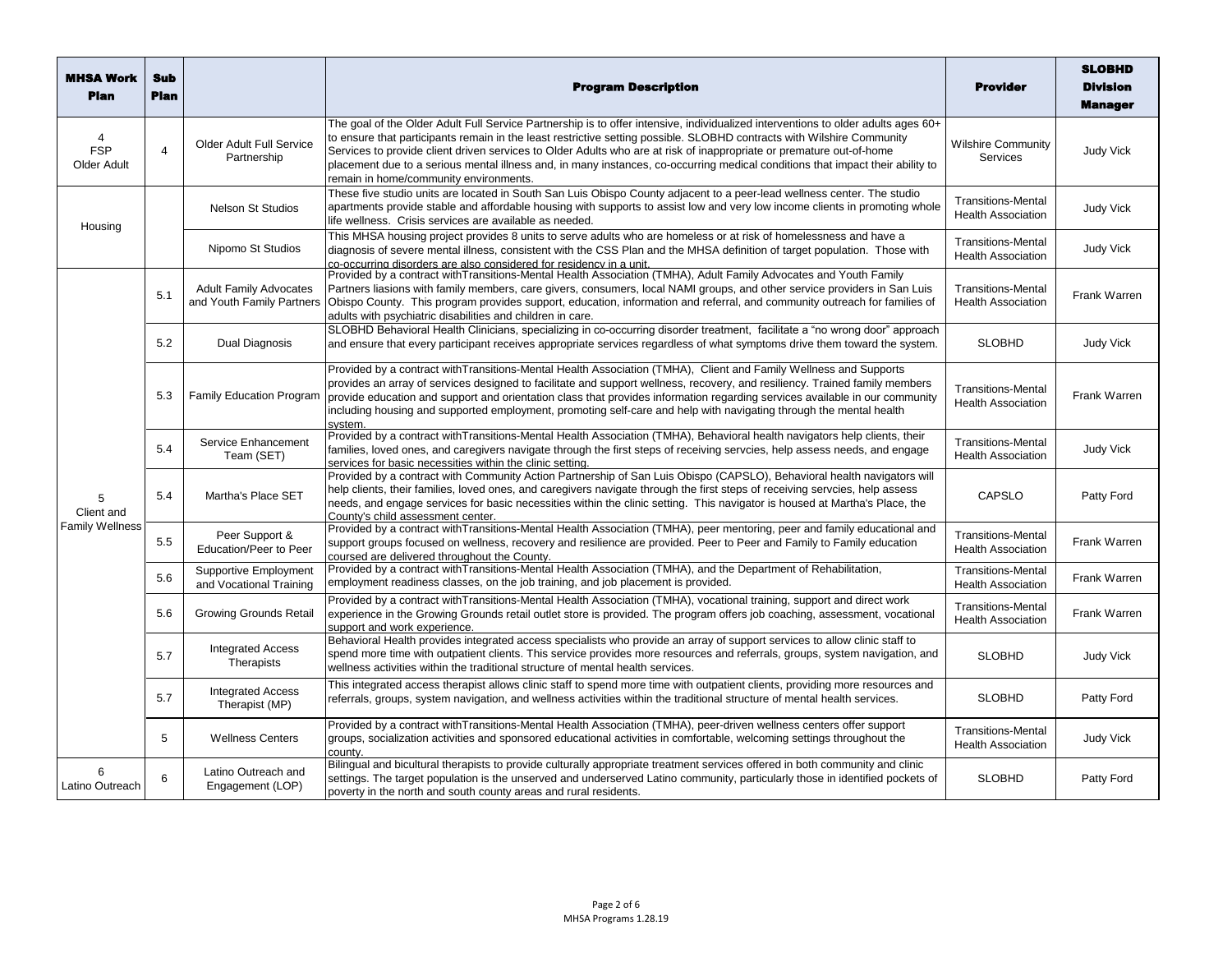| MHSA Work<br>Plan                         | <b>Sub</b><br><b>Plan</b> |                                                            | <b>Program Description</b>                                                                                                                                                                                                                                                                                                                                                                                                                                                                                                                                      | <b>Provider</b>                                        | <b>SLOBHD</b><br><b>Division</b><br><b>Manager</b> |
|-------------------------------------------|---------------------------|------------------------------------------------------------|-----------------------------------------------------------------------------------------------------------------------------------------------------------------------------------------------------------------------------------------------------------------------------------------------------------------------------------------------------------------------------------------------------------------------------------------------------------------------------------------------------------------------------------------------------------------|--------------------------------------------------------|----------------------------------------------------|
| 4<br><b>FSP</b><br>Older Adult            | $\overline{4}$            | Older Adult Full Service<br>Partnership                    | The goal of the Older Adult Full Service Partnership is to offer intensive, individualized interventions to older adults ages 60+<br>to ensure that participants remain in the least restrictive setting possible. SLOBHD contracts with Wilshire Community<br>Services to provide client driven services to Older Adults who are at risk of inappropriate or premature out-of-home<br>placement due to a serious mental illness and, in many instances, co-occurring medical conditions that impact their ability to<br>remain in home/community environments. | <b>Wilshire Community</b><br><b>Services</b>           | <b>Judy Vick</b>                                   |
| Housing                                   |                           | <b>Nelson St Studios</b>                                   | These five studio units are located in South San Luis Obispo County adjacent to a peer-lead wellness center. The studio<br>apartments provide stable and affordable housing with supports to assist low and very low income clients in promoting whole<br>ife wellness. Crisis services are available as needed.                                                                                                                                                                                                                                                | <b>Transitions-Mental</b><br><b>Health Association</b> | <b>Judy Vick</b>                                   |
|                                           |                           | Nipomo St Studios                                          | This MHSA housing project provides 8 units to serve adults who are homeless or at risk of homelessness and have a<br>diagnosis of severe mental illness, consistent with the CSS Plan and the MHSA definition of target population. Those with<br>co-occurring disorders are also considered for residency in a unit.                                                                                                                                                                                                                                           | <b>Transitions-Mental</b><br><b>Health Association</b> | <b>Judy Vick</b>                                   |
|                                           | 5.1                       | <b>Adult Family Advocates</b><br>and Youth Family Partners | Provided by a contract with Transitions-Mental Health Association (TMHA), Adult Family Advocates and Youth Family<br>Partners liasions with family members, care givers, consumers, local NAMI groups, and other service providers in San Luis<br>Obispo County. This program provides support, education, information and referral, and community outreach for families of<br>adults with psychiatric disabilities and children in care.                                                                                                                       | <b>Transitions-Mental</b><br><b>Health Association</b> | Frank Warren                                       |
|                                           | 5.2                       | Dual Diagnosis                                             | SLOBHD Behavioral Health Clinicians, specializing in co-occurring disorder treatment, facilitate a "no wrong door" approach<br>and ensure that every participant receives appropriate services regardless of what symptoms drive them toward the system.                                                                                                                                                                                                                                                                                                        | <b>SLOBHD</b>                                          | <b>Judy Vick</b>                                   |
|                                           | 5.3                       | <b>Family Education Program</b>                            | Provided by a contract with Transitions-Mental Health Association (TMHA), Client and Family Wellness and Supports<br>provides an array of services designed to facilitate and support wellness, recovery, and resiliency. Trained family members<br>provide education and support and orientation class that provides information regarding services available in our community<br>including housing and supported employment, promoting self-care and help with navigating through the mental health<br>svstem.                                                | <b>Transitions-Mental</b><br><b>Health Association</b> | Frank Warren                                       |
|                                           | 5.4                       | Service Enhancement<br>Team (SET)                          | Provided by a contract with Transitions-Mental Health Association (TMHA), Behavioral health navigators help clients, their<br>families, loved ones, and caregivers navigate through the first steps of receiving servcies, help assess needs, and engage<br>services for basic necessities within the clinic setting.                                                                                                                                                                                                                                           | <b>Transitions-Mental</b><br><b>Health Association</b> | <b>Judy Vick</b>                                   |
| 5<br>Client and<br><b>Family Wellness</b> | 5.4                       | Martha's Place SET                                         | Provided by a contract with Community Action Partnership of San Luis Obispo (CAPSLO), Behavioral health navigators will<br>help clients, their families, loved ones, and caregivers navigate through the first steps of receiving servcies, help assess<br>needs, and engage services for basic necessities within the clinic setting. This navigator is housed at Martha's Place, the<br>County's child assessment center.                                                                                                                                     | <b>CAPSLO</b>                                          | Patty Ford                                         |
|                                           | 5.5                       | Peer Support &<br>Education/Peer to Peer                   | Provided by a contract with Transitions-Mental Health Association (TMHA), peer mentoring, peer and family educational and<br>support groups focused on wellness, recovery and resilience are provided. Peer to Peer and Family to Family education<br>coursed are delivered throughout the County.                                                                                                                                                                                                                                                              | <b>Transitions-Mental</b><br><b>Health Association</b> | Frank Warren                                       |
|                                           | 5.6                       | Supportive Employment<br>and Vocational Training           | Provided by a contract with Transitions-Mental Health Association (TMHA), and the Department of Rehabilitation,<br>employment readiness classes, on the job training, and job placement is provided.                                                                                                                                                                                                                                                                                                                                                            | <b>Transitions-Mental</b><br><b>Health Association</b> | Frank Warren                                       |
|                                           | 5.6                       | Growing Grounds Retail                                     | Provided by a contract withTransitions-Mental Health Association (TMHA), vocational training, support and direct work<br>experience in the Growing Grounds retail outlet store is provided. The program offers job coaching, assessment, vocational<br>support and work experience.                                                                                                                                                                                                                                                                             | <b>Transitions-Mental</b><br><b>Health Association</b> | Frank Warren                                       |
|                                           | 5.7                       | <b>Integrated Access</b><br>Therapists                     | Behavioral Health provides integrated access specialists who provide an array of support services to allow clinic staff to<br>spend more time with outpatient clients. This service provides more resources and referrals, groups, system navigation, and<br>wellness activities within the traditional structure of mental health services.                                                                                                                                                                                                                    | <b>SLOBHD</b>                                          | <b>Judy Vick</b>                                   |
|                                           | 5.7                       | <b>Integrated Access</b><br>Therapist (MP)                 | This integrated access therapist allows clinic staff to spend more time with outpatient clients, providing more resources and<br>referrals, groups, system navigation, and wellness activities within the traditional structure of mental health services.                                                                                                                                                                                                                                                                                                      | <b>SLOBHD</b>                                          | Patty Ford                                         |
|                                           | 5                         | <b>Wellness Centers</b>                                    | Provided by a contract with Transitions-Mental Health Association (TMHA), peer-driven wellness centers offer support<br>groups, socialization activities and sponsored educational activities in comfortable, welcoming settings throughout the<br>county.                                                                                                                                                                                                                                                                                                      | <b>Transitions-Mental</b><br><b>Health Association</b> | <b>Judy Vick</b>                                   |
| 6<br>Latino Outreach                      | 6                         | Latino Outreach and<br>Engagement (LOP)                    | Bilingual and bicultural therapists to provide culturally appropriate treatment services offered in both community and clinic<br>settings. The target population is the unserved and underserved Latino community, particularly those in identified pockets of<br>poverty in the north and south county areas and rural residents.                                                                                                                                                                                                                              | <b>SLOBHD</b>                                          | Patty Ford                                         |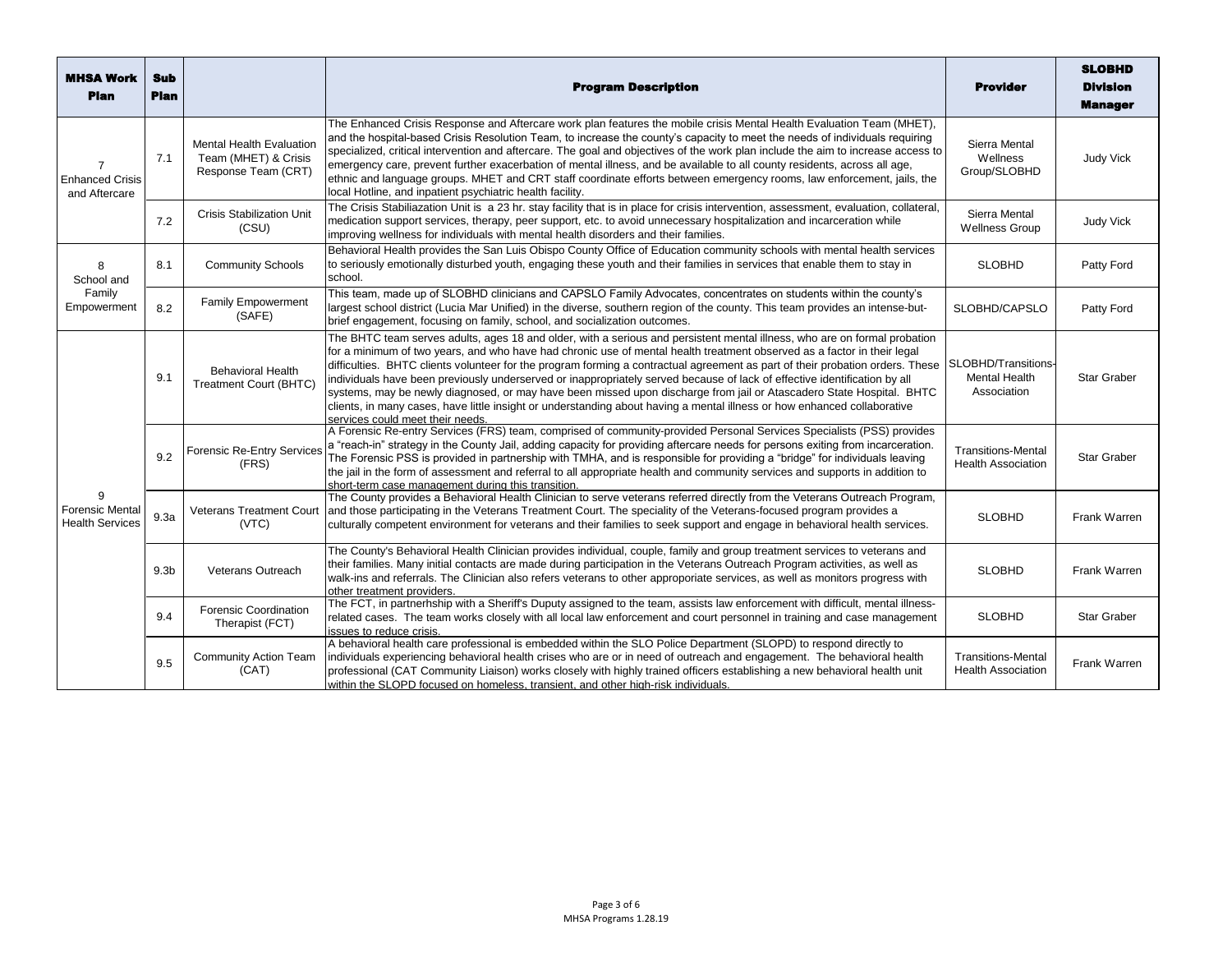| <b>MHSA Work</b><br><b>Plan</b>                      | <b>Sub</b><br>Plan |                                                                                | <b>Program Description</b>                                                                                                                                                                                                                                                                                                                                                                                                                                                                                                                                                                                                                                                                                                                                                                                 | <b>Provider</b>                                            | <b>SLOBHD</b><br><b>Division</b><br><b>Manager</b> |
|------------------------------------------------------|--------------------|--------------------------------------------------------------------------------|------------------------------------------------------------------------------------------------------------------------------------------------------------------------------------------------------------------------------------------------------------------------------------------------------------------------------------------------------------------------------------------------------------------------------------------------------------------------------------------------------------------------------------------------------------------------------------------------------------------------------------------------------------------------------------------------------------------------------------------------------------------------------------------------------------|------------------------------------------------------------|----------------------------------------------------|
| <b>Enhanced Crisis</b><br>and Aftercare              | 7.1                | <b>Mental Health Evaluation</b><br>Team (MHET) & Crisis<br>Response Team (CRT) | The Enhanced Crisis Response and Aftercare work plan features the mobile crisis Mental Health Evaluation Team (MHET),<br>and the hospital-based Crisis Resolution Team, to increase the county's capacity to meet the needs of individuals requiring<br>specialized, critical intervention and aftercare. The goal and objectives of the work plan include the aim to increase access to<br>emergency care, prevent further exacerbation of mental illness, and be available to all county residents, across all age,<br>ethnic and language groups. MHET and CRT staff coordinate efforts between emergency rooms, law enforcement, jails, the<br>local Hotline, and inpatient psychiatric health facility.                                                                                               | Sierra Mental<br>Wellness<br>Group/SLOBHD                  | <b>Judy Vick</b>                                   |
|                                                      | 7.2                | <b>Crisis Stabilization Unit</b><br>(CSU)                                      | The Crisis Stabiliazation Unit is a 23 hr. stay facility that is in place for crisis intervention, assessment, evaluation, collateral,<br>medication support services, therapy, peer support, etc. to avoid unnecessary hospitalization and incarceration while<br>improving wellness for individuals with mental health disorders and their families.                                                                                                                                                                                                                                                                                                                                                                                                                                                     | Sierra Mental<br><b>Wellness Group</b>                     | <b>Judy Vick</b>                                   |
| 8<br>School and<br>Family<br>Empowerment             | 8.1                | <b>Community Schools</b>                                                       | Behavioral Health provides the San Luis Obispo County Office of Education community schools with mental health services<br>to seriously emotionally disturbed youth, engaging these youth and their families in services that enable them to stay in<br>school.                                                                                                                                                                                                                                                                                                                                                                                                                                                                                                                                            | <b>SLOBHD</b>                                              | Patty Ford                                         |
|                                                      | 8.2                | <b>Family Empowerment</b><br>(SAFE)                                            | This team, made up of SLOBHD clinicians and CAPSLO Family Advocates, concentrates on students within the county's<br>largest school district (Lucia Mar Unified) in the diverse, southern region of the county. This team provides an intense-but-<br>brief engagement, focusing on family, school, and socialization outcomes.                                                                                                                                                                                                                                                                                                                                                                                                                                                                            | SLOBHD/CAPSLO                                              | Patty Ford                                         |
| 9<br><b>Forensic Menta</b><br><b>Health Services</b> | 9.1                | <b>Behavioral Health</b><br><b>Treatment Court (BHTC)</b>                      | The BHTC team serves adults, ages 18 and older, with a serious and persistent mental illness, who are on formal probation<br>for a minimum of two years, and who have had chronic use of mental health treatment observed as a factor in their legal<br>difficulties. BHTC clients volunteer for the program forming a contractual agreement as part of their probation orders. These<br>individuals have been previously underserved or inappropriately served because of lack of effective identification by all<br>systems, may be newly diagnosed, or may have been missed upon discharge from jail or Atascadero State Hospital. BHTC<br>clients, in many cases, have little insight or understanding about having a mental illness or how enhanced collaborative<br>services could meet their needs. | SLOBHD/Transitions-<br><b>Mental Health</b><br>Association | <b>Star Graber</b>                                 |
|                                                      | 9.2                | <b>Forensic Re-Entry Services</b><br>(FRS)                                     | A Forensic Re-entry Services (FRS) team, comprised of community-provided Personal Services Specialists (PSS) provides<br>a "reach-in" strategy in the County Jail, adding capacity for providing aftercare needs for persons exiting from incarceration.<br>The Forensic PSS is provided in partnership with TMHA, and is responsible for providing a "bridge" for individuals leaving<br>the jail in the form of assessment and referral to all appropriate health and community services and supports in addition to<br>short-term case management during this transition.                                                                                                                                                                                                                               | <b>Transitions-Mental</b><br><b>Health Association</b>     | <b>Star Graber</b>                                 |
|                                                      | 9.3a               | <b>Veterans Treatment Court</b><br>(VTC)                                       | The County provides a Behavioral Health Clinician to serve veterans referred directly from the Veterans Outreach Program,<br>and those participating in the Veterans Treatment Court. The speciality of the Veterans-focused program provides a<br>culturally competent environment for veterans and their families to seek support and engage in behavioral health services.                                                                                                                                                                                                                                                                                                                                                                                                                              | <b>SLOBHD</b>                                              | Frank Warren                                       |
|                                                      | 9.3 <sub>b</sub>   | Veterans Outreach                                                              | The County's Behavioral Health Clinician provides individual, couple, family and group treatment services to veterans and<br>their families. Many initial contacts are made during participation in the Veterans Outreach Program activities, as well as<br>walk-ins and referrals. The Clinician also refers veterans to other approporiate services, as well as monitors progress with<br>other treatment providers.                                                                                                                                                                                                                                                                                                                                                                                     | <b>SLOBHD</b>                                              | Frank Warren                                       |
|                                                      | 9.4                | <b>Forensic Coordination</b><br>Therapist (FCT)                                | The FCT, in partnerhship with a Sheriff's Duputy assigned to the team, assists law enforcement with difficult, mental illness-<br>related cases. The team works closely with all local law enforcement and court personnel in training and case management<br>issues to reduce crisis.                                                                                                                                                                                                                                                                                                                                                                                                                                                                                                                     | <b>SLOBHD</b>                                              | Star Graber                                        |
|                                                      | 9.5                | <b>Community Action Team</b><br>(CAT)                                          | A behavioral health care professional is embedded within the SLO Police Department (SLOPD) to respond directly to<br>individuals experiencing behavioral health crises who are or in need of outreach and engagement. The behavioral health<br>professional (CAT Community Liaison) works closely with highly trained officers establishing a new behavioral health unit<br>within the SLOPD focused on homeless, transient, and other high-risk individuals.                                                                                                                                                                                                                                                                                                                                              | <b>Transitions-Mental</b><br><b>Health Association</b>     | Frank Warren                                       |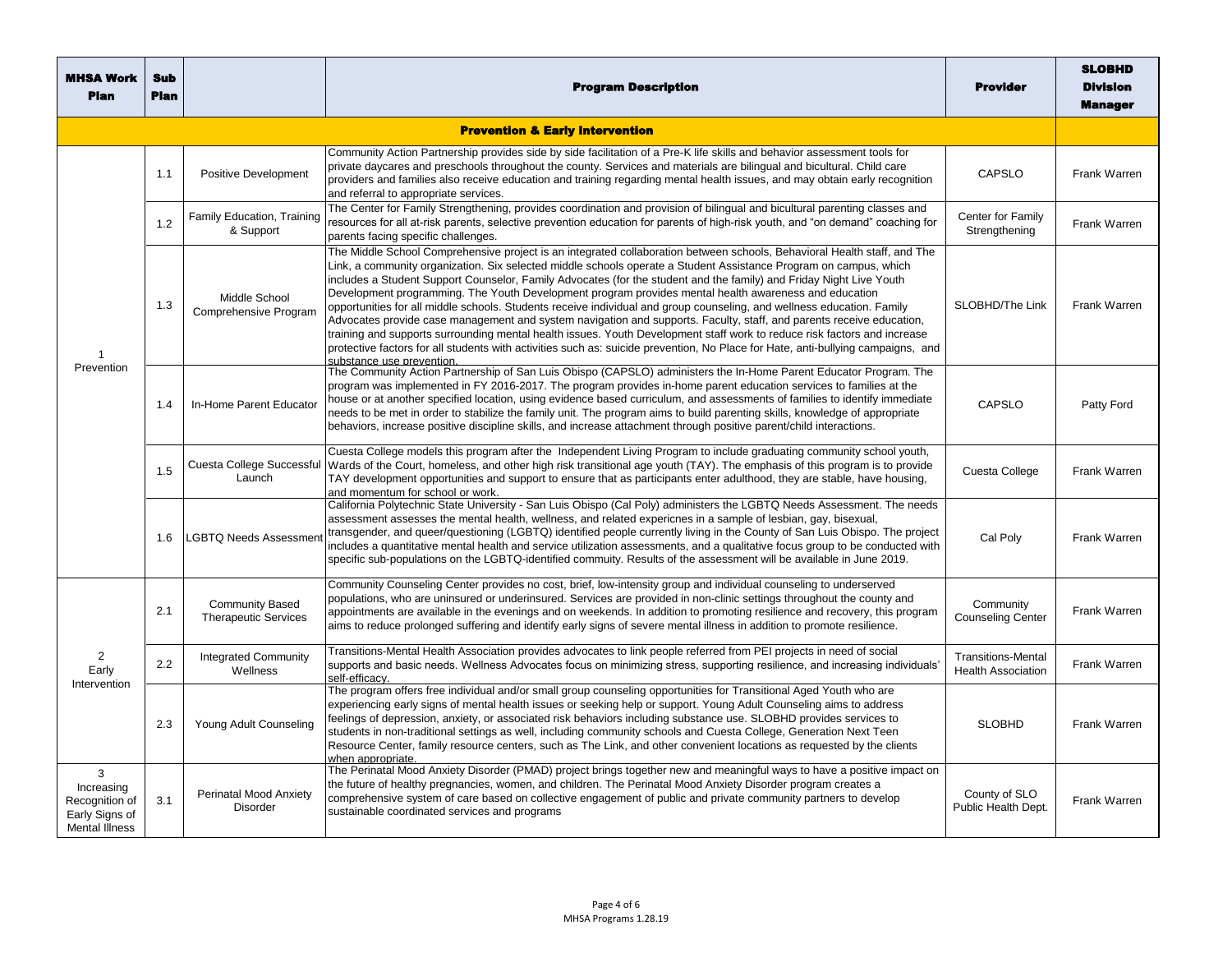| <b>MHSA Work</b><br><b>Plan</b>                                              | Sub<br><b>Plan</b> |                                                       | <b>Program Description</b>                                                                                                                                                                                                                                                                                                                                                                                                                                                                                                                                                                                                                                                                                                                                                                                                                                                                                                                                                                                                   | Provider                                               | <b>SLOBHD</b><br><b>Division</b><br><b>Manager</b> |
|------------------------------------------------------------------------------|--------------------|-------------------------------------------------------|------------------------------------------------------------------------------------------------------------------------------------------------------------------------------------------------------------------------------------------------------------------------------------------------------------------------------------------------------------------------------------------------------------------------------------------------------------------------------------------------------------------------------------------------------------------------------------------------------------------------------------------------------------------------------------------------------------------------------------------------------------------------------------------------------------------------------------------------------------------------------------------------------------------------------------------------------------------------------------------------------------------------------|--------------------------------------------------------|----------------------------------------------------|
| <b>Prevention &amp; Early Intervention</b>                                   |                    |                                                       |                                                                                                                                                                                                                                                                                                                                                                                                                                                                                                                                                                                                                                                                                                                                                                                                                                                                                                                                                                                                                              |                                                        |                                                    |
| $\mathbf 1$<br>Prevention                                                    | 1.1                | <b>Positive Development</b>                           | Community Action Partnership provides side by side facilitation of a Pre-K life skills and behavior assessment tools for<br>private daycares and preschools throughout the county. Services and materials are bilingual and bicultural. Child care<br>providers and families also receive education and training regarding mental health issues, and may obtain early recognition<br>and referral to appropriate services.                                                                                                                                                                                                                                                                                                                                                                                                                                                                                                                                                                                                   | CAPSLO                                                 | Frank Warren                                       |
|                                                                              | 1.2                | Family Education, Training<br>& Support               | The Center for Family Strengthening, provides coordination and provision of bilingual and bicultural parenting classes and<br>resources for all at-risk parents, selective prevention education for parents of high-risk youth, and "on demand" coaching for<br>parents facing specific challenges.                                                                                                                                                                                                                                                                                                                                                                                                                                                                                                                                                                                                                                                                                                                          | Center for Family<br>Strengthening                     | Frank Warren                                       |
|                                                                              | 1.3                | Middle School<br>Comprehensive Program                | The Middle School Comprehensive project is an integrated collaboration between schools, Behavioral Health staff, and The<br>Link, a community organization. Six selected middle schools operate a Student Assistance Program on campus, which<br>includes a Student Support Counselor, Family Advocates (for the student and the family) and Friday Night Live Youth<br>Development programming. The Youth Development program provides mental health awareness and education<br>opportunities for all middle schools. Students receive individual and group counseling, and wellness education. Family<br>Advocates provide case management and system navigation and supports. Faculty, staff, and parents receive education,<br>training and supports surrounding mental health issues. Youth Development staff work to reduce risk factors and increase<br>protective factors for all students with activities such as: suicide prevention, No Place for Hate, anti-bullying campaigns, and<br>substance use prevention. | SLOBHD/The Link                                        | Frank Warren                                       |
|                                                                              | 1.4                | In-Home Parent Educator                               | The Community Action Partnership of San Luis Obispo (CAPSLO) administers the In-Home Parent Educator Program. The<br>program was implemented in FY 2016-2017. The program provides in-home parent education services to families at the<br>house or at another specified location, using evidence based curriculum, and assessments of families to identify immediate<br>needs to be met in order to stabilize the family unit. The program aims to build parenting skills, knowledge of appropriate<br>behaviors, increase positive discipline skills, and increase attachment through positive parent/child interactions.                                                                                                                                                                                                                                                                                                                                                                                                  | <b>CAPSLO</b>                                          | Patty Ford                                         |
|                                                                              | 1.5                | Cuesta College Successful<br>Launch                   | Cuesta College models this program after the Independent Living Program to include graduating community school youth,<br>Wards of the Court, homeless, and other high risk transitional age youth (TAY). The emphasis of this program is to provide<br>TAY development opportunities and support to ensure that as participants enter adulthood, they are stable, have housing,<br>and momentum for school or work.                                                                                                                                                                                                                                                                                                                                                                                                                                                                                                                                                                                                          | Cuesta College                                         | Frank Warren                                       |
|                                                                              | 1.6                | <b>LGBTQ Needs Assessment</b>                         | California Polytechnic State University - San Luis Obispo (Cal Poly) administers the LGBTQ Needs Assessment. The needs<br>assessment assesses the mental health, wellness, and related experiones in a sample of lesbian, gay, bisexual,<br>transgender, and queer/questioning (LGBTQ) identified people currently living in the County of San Luis Obispo. The project<br>includes a quantitative mental health and service utilization assessments, and a qualitative focus group to be conducted with<br>specific sub-populations on the LGBTQ-identified commuity. Results of the assessment will be available in June 2019.                                                                                                                                                                                                                                                                                                                                                                                             | Cal Poly                                               | Frank Warren                                       |
| 2<br>Early<br>Intervention                                                   | 2.1                | <b>Community Based</b><br><b>Therapeutic Services</b> | Community Counseling Center provides no cost, brief, low-intensity group and individual counseling to underserved<br>populations, who are uninsured or underinsured. Services are provided in non-clinic settings throughout the county and<br>appointments are available in the evenings and on weekends. In addition to promoting resilience and recovery, this program<br>aims to reduce prolonged suffering and identify early signs of severe mental illness in addition to promote resilience.                                                                                                                                                                                                                                                                                                                                                                                                                                                                                                                         | Community<br><b>Counseling Center</b>                  | Frank Warren                                       |
|                                                                              | 2.2                | <b>Integrated Community</b><br>Wellness               | Transitions-Mental Health Association provides advocates to link people referred from PEI projects in need of social<br>supports and basic needs. Wellness Advocates focus on minimizing stress, supporting resilience, and increasing individuals'<br>self-efficacv.                                                                                                                                                                                                                                                                                                                                                                                                                                                                                                                                                                                                                                                                                                                                                        | <b>Transitions-Mental</b><br><b>Health Association</b> | Frank Warren                                       |
|                                                                              | 2.3                | Young Adult Counseling                                | The program offers free individual and/or small group counseling opportunities for Transitional Aged Youth who are<br>experiencing early signs of mental health issues or seeking help or support. Young Adult Counseling aims to address<br>feelings of depression, anxiety, or associated risk behaviors including substance use. SLOBHD provides services to<br>students in non-traditional settings as well, including community schools and Cuesta College, Generation Next Teen<br>Resource Center, family resource centers, such as The Link, and other convenient locations as requested by the clients<br>when appropriate.                                                                                                                                                                                                                                                                                                                                                                                         | <b>SLOBHD</b>                                          | Frank Warren                                       |
| 3<br>Increasing<br>Recognition of<br>Early Signs of<br><b>Mental Illness</b> | 3.1                | Perinatal Mood Anxiety<br>Disorder                    | The Perinatal Mood Anxiety Disorder (PMAD) project brings together new and meaningful ways to have a positive impact on<br>the future of healthy pregnancies, women, and children. The Perinatal Mood Anxiety Disorder program creates a<br>comprehensive system of care based on collective engagement of public and private community partners to develop<br>sustainable coordinated services and programs                                                                                                                                                                                                                                                                                                                                                                                                                                                                                                                                                                                                                 | County of SLO<br>Public Health Dept.                   | Frank Warren                                       |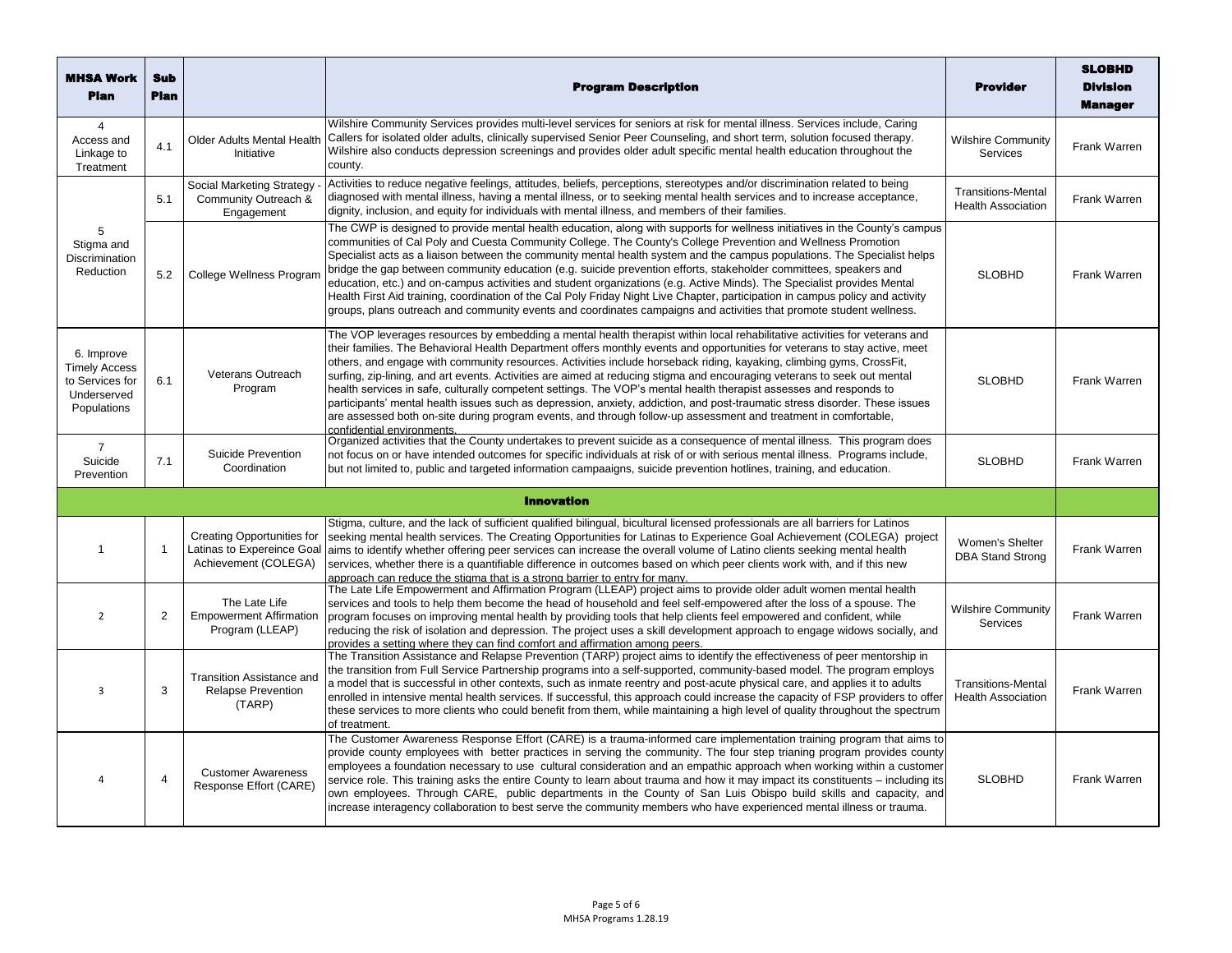| <b>MHSA Work</b><br><b>Plan</b>                                                     | <b>Sub</b><br><b>Plan</b> |                                                                                         | <b>Program Description</b>                                                                                                                                                                                                                                                                                                                                                                                                                                                                                                                                                                                                                                                                                                                                                                                                                                                                                         | <b>Provider</b>                                        | <b>SLOBHD</b><br><b>Division</b><br><b>Manager</b> |
|-------------------------------------------------------------------------------------|---------------------------|-----------------------------------------------------------------------------------------|--------------------------------------------------------------------------------------------------------------------------------------------------------------------------------------------------------------------------------------------------------------------------------------------------------------------------------------------------------------------------------------------------------------------------------------------------------------------------------------------------------------------------------------------------------------------------------------------------------------------------------------------------------------------------------------------------------------------------------------------------------------------------------------------------------------------------------------------------------------------------------------------------------------------|--------------------------------------------------------|----------------------------------------------------|
| $\overline{4}$<br>Access and<br>Linkage to<br>Treatment                             | 4.1                       | <b>Older Adults Mental Health</b><br>Initiative                                         | Wilshire Community Services provides multi-level services for seniors at risk for mental illness. Services include, Caring<br>Callers for isolated older adults, clinically supervised Senior Peer Counseling, and short term, solution focused therapy.<br>Wilshire also conducts depression screenings and provides older adult specific mental health education throughout the<br>county.                                                                                                                                                                                                                                                                                                                                                                                                                                                                                                                       | <b>Wilshire Community</b><br>Services                  | Frank Warren                                       |
|                                                                                     | 5.1                       | Social Marketing Strategy<br>Community Outreach &<br>Engagement                         | Activities to reduce negative feelings, attitudes, beliefs, perceptions, stereotypes and/or discrimination related to being<br>diagnosed with mental illness, having a mental illness, or to seeking mental health services and to increase acceptance,<br>dignity, inclusion, and equity for individuals with mental illness, and members of their families.                                                                                                                                                                                                                                                                                                                                                                                                                                                                                                                                                      | <b>Transitions-Mental</b><br><b>Health Association</b> | Frank Warren                                       |
| 5<br>Stigma and<br><b>Discrimination</b><br>Reduction                               | 5.2                       | College Wellness Program                                                                | The CWP is designed to provide mental health education, along with supports for wellness initiatives in the County's campus<br>communities of Cal Poly and Cuesta Community College. The County's College Prevention and Wellness Promotion<br>Specialist acts as a liaison between the community mental health system and the campus populations. The Specialist helps<br>bridge the gap between community education (e.g. suicide prevention efforts, stakeholder committees, speakers and<br>education, etc.) and on-campus activities and student organizations (e.g. Active Minds). The Specialist provides Mental<br>Health First Aid training, coordination of the Cal Poly Friday Night Live Chapter, participation in campus policy and activity<br>groups, plans outreach and community events and coordinates campaigns and activities that promote student wellness.                                   | <b>SLOBHD</b>                                          | Frank Warren                                       |
| 6. Improve<br><b>Timely Access</b><br>to Services for<br>Underserved<br>Populations | 6.1                       | <b>Veterans Outreach</b><br>Program                                                     | The VOP leverages resources by embedding a mental health therapist within local rehabilitative activities for veterans and<br>their families. The Behavioral Health Department offers monthly events and opportunities for veterans to stay active, meet<br>others, and engage with community resources. Activities include horseback riding, kayaking, climbing gyms, CrossFit,<br>surfing, zip-lining, and art events. Activities are aimed at reducing stigma and encouraging veterans to seek out mental<br>health services in safe, culturally competent settings. The VOP's mental health therapist assesses and responds to<br>participants' mental health issues such as depression, anxiety, addiction, and post-traumatic stress disorder. These issues<br>are assessed both on-site during program events, and through follow-up assessment and treatment in comfortable,<br>confidential environments. | <b>SLOBHD</b>                                          | Frank Warren                                       |
| $\overline{7}$<br>Suicide<br>Prevention                                             | 7.1                       | Suicide Prevention<br>Coordination                                                      | Organized activities that the County undertakes to prevent suicide as a consequence of mental illness. This program does<br>not focus on or have intended outcomes for specific individuals at risk of or with serious mental illness. Programs include,<br>but not limited to, public and targeted information campaaigns, suicide prevention hotlines, training, and education.                                                                                                                                                                                                                                                                                                                                                                                                                                                                                                                                  | <b>SLOBHD</b>                                          | Frank Warren                                       |
|                                                                                     |                           |                                                                                         | <b>Innovation</b>                                                                                                                                                                                                                                                                                                                                                                                                                                                                                                                                                                                                                                                                                                                                                                                                                                                                                                  |                                                        |                                                    |
| $\mathbf 1$                                                                         | $\mathbf{1}$              | <b>Creating Opportunities for</b><br>Latinas to Expereince Goal<br>Achievement (COLEGA) | Stigma, culture, and the lack of sufficient qualified bilingual, bicultural licensed professionals are all barriers for Latinos<br>seeking mental health services. The Creating Opportunities for Latinas to Experience Goal Achievement (COLEGA) project<br>aims to identify whether offering peer services can increase the overall volume of Latino clients seeking mental health<br>services, whether there is a quantifiable difference in outcomes based on which peer clients work with, and if this new<br>approach can reduce the stigma that is a strong barrier to entry for many.                                                                                                                                                                                                                                                                                                                      | Women's Shelter<br><b>DBA Stand Strong</b>             | Frank Warren                                       |
| $\overline{2}$                                                                      | $\overline{2}$            | The Late Life<br><b>Empowerment Affirmation</b><br>Program (LLEAP)                      | The Late Life Empowerment and Affirmation Program (LLEAP) project aims to provide older adult women mental health<br>services and tools to help them become the head of household and feel self-empowered after the loss of a spouse. The<br>program focuses on improving mental health by providing tools that help clients feel empowered and confident, while<br>reducing the risk of isolation and depression. The project uses a skill development approach to engage widows socially, and<br>provides a setting where they can find comfort and affirmation among peers.                                                                                                                                                                                                                                                                                                                                     | <b>Wilshire Community</b><br><b>Services</b>           | Frank Warren                                       |
| 3                                                                                   | 3                         | <b>Transition Assistance and</b><br><b>Relapse Prevention</b><br>(TARP)                 | The Transition Assistance and Relapse Prevention (TARP) project aims to identify the effectiveness of peer mentorship in<br>the transition from Full Service Partnership programs into a self-supported, community-based model. The program employs<br>a model that is successful in other contexts, such as inmate reentry and post-acute physical care, and applies it to adults<br>enrolled in intensive mental health services. If successful, this approach could increase the capacity of FSP providers to offer<br>these services to more clients who could benefit from them, while maintaining a high level of quality throughout the spectrum<br>of treatment.                                                                                                                                                                                                                                           | <b>Transitions-Mental</b><br><b>Health Association</b> | Frank Warren                                       |
| Δ                                                                                   | $\overline{4}$            | <b>Customer Awareness</b><br>Response Effort (CARE)                                     | The Customer Awareness Response Effort (CARE) is a trauma-informed care implementation training program that aims to<br>provide county employees with better practices in serving the community. The four step trianing program provides county<br>employees a foundation necessary to use cultural consideration and an empathic approach when working within a customer<br>service role. This training asks the entire County to learn about trauma and how it may impact its constituents – including its<br>own employees. Through CARE, public departments in the County of San Luis Obispo build skills and capacity, and<br>increase interagency collaboration to best serve the community members who have experienced mental illness or trauma.                                                                                                                                                           | <b>SLOBHD</b>                                          | Frank Warren                                       |